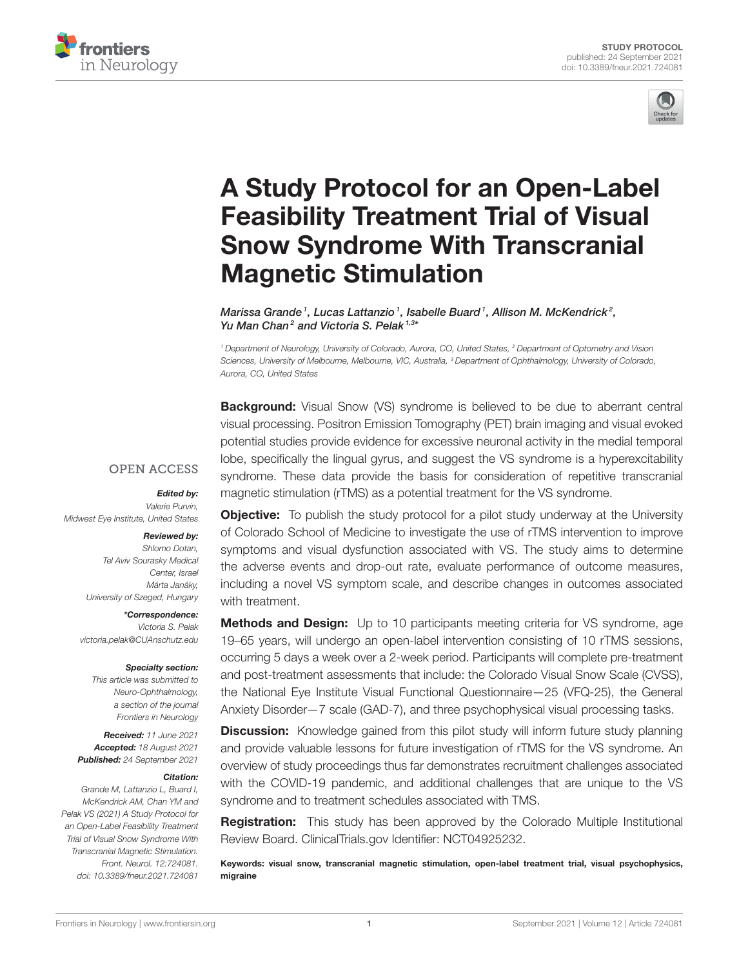



# [A Study Protocol for an Open-Label](https://www.frontiersin.org/articles/10.3389/fneur.2021.724081/full) Feasibility Treatment Trial of Visual Snow Syndrome With Transcranial Magnetic Stimulation

Marissa Grande<sup>1</sup>, Lucas Lattanzio<sup>1</sup>, Isabelle Buard<sup>1</sup>, Allison M. McKendrick<sup>2</sup>, Yu Man Chan<sup>2</sup> and Victoria S. Pelak<sup>1,3\*</sup>

<sup>1</sup> Department of Neurology, University of Colorado, Aurora, CO, United States, <sup>2</sup> Department of Optometry and Vision Sciences, University of Melbourne, Melbourne, VIC, Australia, <sup>3</sup> Department of Ophthalmology, University of Colorado, Aurora, CO, United States

**Background:** Visual Snow (VS) syndrome is believed to be due to aberrant central visual processing. Positron Emission Tomography (PET) brain imaging and visual evoked potential studies provide evidence for excessive neuronal activity in the medial temporal lobe, specifically the lingual gyrus, and suggest the VS syndrome is a hyperexcitability syndrome. These data provide the basis for consideration of repetitive transcranial magnetic stimulation (rTMS) as a potential treatment for the VS syndrome.

## **OPEN ACCESS**

#### Edited by:

Valerie Purvin, Midwest Eye Institute, United States

#### Reviewed by:

Shlomo Dotan, Tel Aviv Sourasky Medical Center, Israel Márta Janáky, University of Szeged, Hungary

#### \*Correspondence:

Victoria S. Pelak [victoria.pelak@CUAnschutz.edu](mailto:victoria.pelak@CUAnschutz.edu)

#### Specialty section:

This article was submitted to Neuro-Ophthalmology, a section of the journal Frontiers in Neurology

Received: 11 June 2021 Accepted: 18 August 2021 Published: 24 September 2021

#### Citation:

Grande M, Lattanzio L, Buard I, McKendrick AM, Chan YM and Pelak VS (2021) A Study Protocol for an Open-Label Feasibility Treatment Trial of Visual Snow Syndrome With Transcranial Magnetic Stimulation. Front. Neurol. 12:724081. doi: [10.3389/fneur.2021.724081](https://doi.org/10.3389/fneur.2021.724081)

**Objective:** To publish the study protocol for a pilot study underway at the University of Colorado School of Medicine to investigate the use of rTMS intervention to improve symptoms and visual dysfunction associated with VS. The study aims to determine the adverse events and drop-out rate, evaluate performance of outcome measures, including a novel VS symptom scale, and describe changes in outcomes associated with treatment.

**Methods and Design:** Up to 10 participants meeting criteria for VS syndrome, age 19–65 years, will undergo an open-label intervention consisting of 10 rTMS sessions, occurring 5 days a week over a 2-week period. Participants will complete pre-treatment and post-treatment assessments that include: the Colorado Visual Snow Scale (CVSS), the National Eye Institute Visual Functional Questionnaire—25 (VFQ-25), the General Anxiety Disorder—7 scale (GAD-7), and three psychophysical visual processing tasks.

**Discussion:** Knowledge gained from this pilot study will inform future study planning and provide valuable lessons for future investigation of rTMS for the VS syndrome. An overview of study proceedings thus far demonstrates recruitment challenges associated with the COVID-19 pandemic, and additional challenges that are unique to the VS syndrome and to treatment schedules associated with TMS.

**Registration:** This study has been approved by the Colorado Multiple Institutional Review Board. [ClinicalTrials.gov](https://ClinicalTrials.gov) Identifier: NCT04925232.

Keywords: visual snow, transcranial magnetic stimulation, open-label treatment trial, visual psychophysics, migraine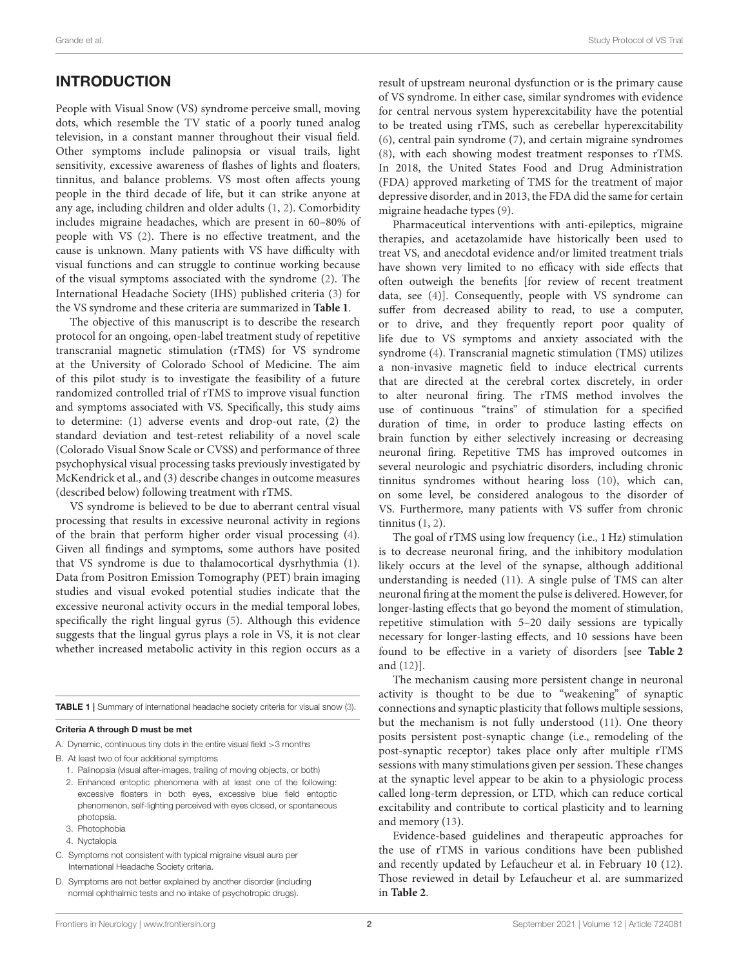## INTRODUCTION

People with Visual Snow (VS) syndrome perceive small, moving dots, which resemble the TV static of a poorly tuned analog television, in a constant manner throughout their visual field. Other symptoms include palinopsia or visual trails, light sensitivity, excessive awareness of flashes of lights and floaters, tinnitus, and balance problems. VS most often affects young people in the third decade of life, but it can strike anyone at any age, including children and older adults [\(1,](#page-6-0) [2\)](#page-6-1). Comorbidity includes migraine headaches, which are present in 60–80% of people with VS [\(2\)](#page-6-1). There is no effective treatment, and the cause is unknown. Many patients with VS have difficulty with visual functions and can struggle to continue working because of the visual symptoms associated with the syndrome [\(2\)](#page-6-1). The International Headache Society (IHS) published criteria [\(3\)](#page-6-2) for the VS syndrome and these criteria are summarized in **[Table 1](#page-1-0)**.

The objective of this manuscript is to describe the research protocol for an ongoing, open-label treatment study of repetitive transcranial magnetic stimulation (rTMS) for VS syndrome at the University of Colorado School of Medicine. The aim of this pilot study is to investigate the feasibility of a future randomized controlled trial of rTMS to improve visual function and symptoms associated with VS. Specifically, this study aims to determine: (1) adverse events and drop-out rate, (2) the standard deviation and test-retest reliability of a novel scale (Colorado Visual Snow Scale or CVSS) and performance of three psychophysical visual processing tasks previously investigated by McKendrick et al., and (3) describe changes in outcome measures (described below) following treatment with rTMS.

VS syndrome is believed to be due to aberrant central visual processing that results in excessive neuronal activity in regions of the brain that perform higher order visual processing [\(4\)](#page-6-3). Given all findings and symptoms, some authors have posited that VS syndrome is due to thalamocortical dysrhythmia [\(1\)](#page-6-0). Data from Positron Emission Tomography (PET) brain imaging studies and visual evoked potential studies indicate that the excessive neuronal activity occurs in the medial temporal lobes, specifically the right lingual gyrus [\(5\)](#page-6-4). Although this evidence suggests that the lingual gyrus plays a role in VS, it is not clear whether increased metabolic activity in this region occurs as a

<span id="page-1-0"></span>TABLE 1 | Summary of international headache society criteria for visual snow [\(3\)](#page-6-2).

#### Criteria A through D must be met

- A. Dynamic, continuous tiny dots in the entire visual field >3 months
- B. At least two of four additional symptoms
	- 1. Palinopsia (visual after-images, trailing of moving objects, or both)
	- 2. Enhanced entoptic phenomena with at least one of the following: excessive floaters in both eyes, excessive blue field entoptic phenomenon, self-lighting perceived with eyes closed, or spontaneous photopsia.
	- 3. Photophobia
	- 4. Nyctalopia
- C. Symptoms not consistent with typical migraine visual aura per International Headache Society criteria.
- D. Symptoms are not better explained by another disorder (including normal ophthalmic tests and no intake of psychotropic drugs).

result of upstream neuronal dysfunction or is the primary cause of VS syndrome. In either case, similar syndromes with evidence for central nervous system hyperexcitability have the potential to be treated using rTMS, such as cerebellar hyperexcitability [\(6\)](#page-6-5), central pain syndrome [\(7\)](#page-6-6), and certain migraine syndromes [\(8\)](#page-6-7), with each showing modest treatment responses to rTMS. In 2018, the United States Food and Drug Administration (FDA) approved marketing of TMS for the treatment of major depressive disorder, and in 2013, the FDA did the same for certain migraine headache types [\(9\)](#page-6-8).

Pharmaceutical interventions with anti-epileptics, migraine therapies, and acetazolamide have historically been used to treat VS, and anecdotal evidence and/or limited treatment trials have shown very limited to no efficacy with side effects that often outweigh the benefits [for review of recent treatment data, see [\(4\)](#page-6-3)]. Consequently, people with VS syndrome can suffer from decreased ability to read, to use a computer, or to drive, and they frequently report poor quality of life due to VS symptoms and anxiety associated with the syndrome [\(4\)](#page-6-3). Transcranial magnetic stimulation (TMS) utilizes a non-invasive magnetic field to induce electrical currents that are directed at the cerebral cortex discretely, in order to alter neuronal firing. The rTMS method involves the use of continuous "trains" of stimulation for a specified duration of time, in order to produce lasting effects on brain function by either selectively increasing or decreasing neuronal firing. Repetitive TMS has improved outcomes in several neurologic and psychiatric disorders, including chronic tinnitus syndromes without hearing loss [\(10\)](#page-6-9), which can, on some level, be considered analogous to the disorder of VS. Furthermore, many patients with VS suffer from chronic tinnitus [\(1,](#page-6-0) [2\)](#page-6-1).

The goal of rTMS using low frequency (i.e., 1 Hz) stimulation is to decrease neuronal firing, and the inhibitory modulation likely occurs at the level of the synapse, although additional understanding is needed [\(11\)](#page-6-10). A single pulse of TMS can alter neuronal firing at the moment the pulse is delivered. However, for longer-lasting effects that go beyond the moment of stimulation, repetitive stimulation with 5–20 daily sessions are typically necessary for longer-lasting effects, and 10 sessions have been found to be effective in a variety of disorders [see **[Table 2](#page-2-0)** and [\(12\)](#page-6-11)].

The mechanism causing more persistent change in neuronal activity is thought to be due to "weakening" of synaptic connections and synaptic plasticity that follows multiple sessions, but the mechanism is not fully understood [\(11\)](#page-6-10). One theory posits persistent post-synaptic change (i.e., remodeling of the post-synaptic receptor) takes place only after multiple rTMS sessions with many stimulations given per session. These changes at the synaptic level appear to be akin to a physiologic process called long-term depression, or LTD, which can reduce cortical excitability and contribute to cortical plasticity and to learning and memory [\(13\)](#page-6-12).

Evidence-based guidelines and therapeutic approaches for the use of rTMS in various conditions have been published and recently updated by Lefaucheur et al. in February 10 [\(12\)](#page-6-11). Those reviewed in detail by Lefaucheur et al. are summarized in **[Table 2](#page-2-0)**.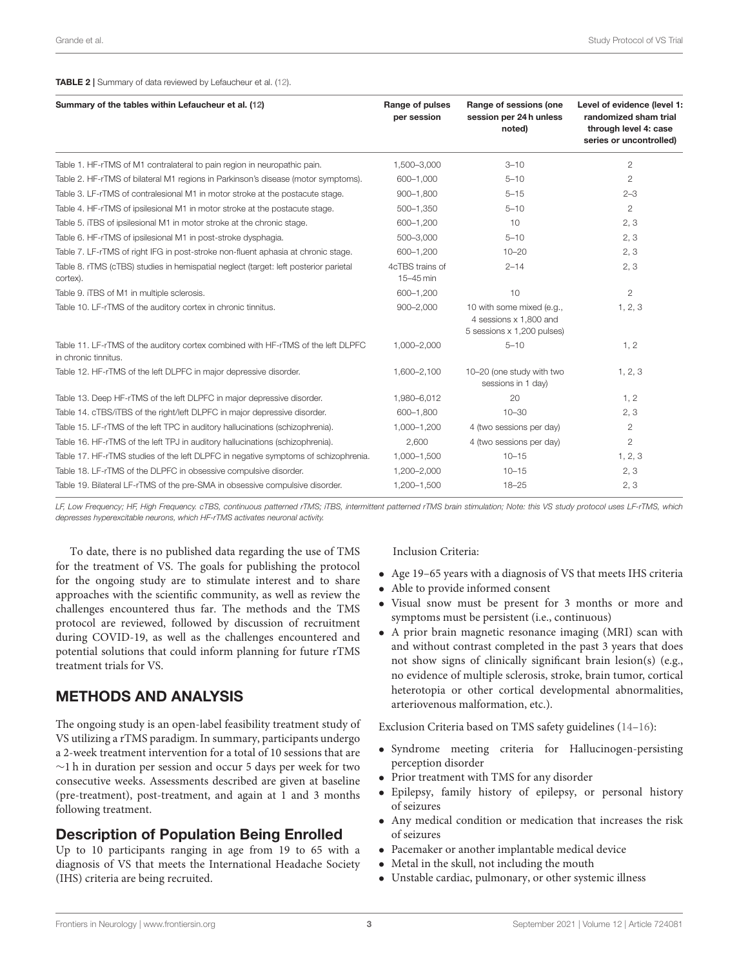#### <span id="page-2-0"></span>TABLE 2 | Summary of data reviewed by Lefaucheur et al. [\(12\)](#page-6-11).

| Summary of the tables within Lefaucheur et al. (12)                                                      | Range of pulses<br>per session | Range of sessions (one<br>session per 24h unless<br>noted)                        | Level of evidence (level 1:<br>randomized sham trial<br>through level 4: case<br>series or uncontrolled) |
|----------------------------------------------------------------------------------------------------------|--------------------------------|-----------------------------------------------------------------------------------|----------------------------------------------------------------------------------------------------------|
| Table 1. HF-rTMS of M1 contralateral to pain region in neuropathic pain.                                 | 1,500-3,000                    | $3 - 10$                                                                          | $\mathbf{2}$                                                                                             |
| Table 2. HF-rTMS of bilateral M1 regions in Parkinson's disease (motor symptoms).                        | 600-1,000                      | $5 - 10$                                                                          | $\mathbf{2}$                                                                                             |
| Table 3. LF-rTMS of contralesional M1 in motor stroke at the postacute stage.                            | 900-1,800                      | $5 - 15$                                                                          | $2 - 3$                                                                                                  |
| Table 4. HF-rTMS of ipsilesional M1 in motor stroke at the postacute stage.                              | 500-1,350                      | $5 - 10$                                                                          | $\overline{2}$                                                                                           |
| Table 5. iTBS of ipsilesional M1 in motor stroke at the chronic stage.                                   | 600-1,200                      | 10                                                                                | 2, 3                                                                                                     |
| Table 6. HF-rTMS of ipsilesional M1 in post-stroke dysphagia.                                            | 500-3,000                      | $5 - 10$                                                                          | 2, 3                                                                                                     |
| Table 7. LF-rTMS of right IFG in post-stroke non-fluent aphasia at chronic stage.                        | 600-1,200                      | $10 - 20$                                                                         | 2, 3                                                                                                     |
| Table 8. rTMS (cTBS) studies in hemispatial neglect (target: left posterior parietal<br>cortex).         | 4cTBS trains of<br>15-45 min   | $2 - 14$                                                                          | 2, 3                                                                                                     |
| Table 9. iTBS of M1 in multiple sclerosis.                                                               | 600-1.200                      | 10                                                                                | $\overline{2}$                                                                                           |
| Table 10. LF-rTMS of the auditory cortex in chronic tinnitus.                                            | $900 - 2,000$                  | 10 with some mixed (e.g.,<br>4 sessions x 1,800 and<br>5 sessions x 1,200 pulses) | 1, 2, 3                                                                                                  |
| Table 11. LF-rTMS of the auditory cortex combined with HF-rTMS of the left DLPFC<br>in chronic tinnitus. | 1,000-2,000                    | $5 - 10$                                                                          | 1, 2                                                                                                     |
| Table 12. HF-rTMS of the left DLPFC in major depressive disorder.                                        | 1,600-2,100                    | 10-20 (one study with two<br>sessions in 1 day)                                   | 1, 2, 3                                                                                                  |
| Table 13. Deep HF-rTMS of the left DLPFC in major depressive disorder.                                   | 1,980-6,012                    | 20                                                                                | 1, 2                                                                                                     |
| Table 14. cTBS/iTBS of the right/left DLPFC in major depressive disorder.                                | 600-1,800                      | $10 - 30$                                                                         | 2, 3                                                                                                     |
| Table 15. LF-rTMS of the left TPC in auditory hallucinations (schizophrenia).                            | 1,000-1,200                    | 4 (two sessions per day)                                                          | $\mathbf{2}$                                                                                             |
| Table 16. HF-rTMS of the left TPJ in auditory hallucinations (schizophrenia).                            | 2.600                          | 4 (two sessions per day)                                                          | $\overline{2}$                                                                                           |
| Table 17. HF-rTMS studies of the left DLPFC in negative symptoms of schizophrenia.                       | 1,000-1,500                    | $10 - 15$                                                                         | 1, 2, 3                                                                                                  |
| Table 18. LF-rTMS of the DLPFC in obsessive compulsive disorder.                                         | 1,200-2,000                    | $10 - 15$                                                                         | 2, 3                                                                                                     |
| Table 19. Bilateral LF-rTMS of the pre-SMA in obsessive compulsive disorder.                             | 1,200-1,500                    | $18 - 25$                                                                         | 2, 3                                                                                                     |

LF, Low Frequency; HF, High Frequency. cTBS, continuous patterned rTMS; iTBS, intermittent patterned rTMS brain stimulation; Note: this VS study protocol uses LF-rTMS, which depresses hyperexcitable neurons, which HF-rTMS activates neuronal activity.

To date, there is no published data regarding the use of TMS for the treatment of VS. The goals for publishing the protocol for the ongoing study are to stimulate interest and to share approaches with the scientific community, as well as review the challenges encountered thus far. The methods and the TMS protocol are reviewed, followed by discussion of recruitment during COVID-19, as well as the challenges encountered and potential solutions that could inform planning for future rTMS treatment trials for VS.

## METHODS AND ANALYSIS

The ongoing study is an open-label feasibility treatment study of VS utilizing a rTMS paradigm. In summary, participants undergo a 2-week treatment intervention for a total of 10 sessions that are ∼1 h in duration per session and occur 5 days per week for two consecutive weeks. Assessments described are given at baseline (pre-treatment), post-treatment, and again at 1 and 3 months following treatment.

## Description of Population Being Enrolled

Up to 10 participants ranging in age from 19 to 65 with a diagnosis of VS that meets the International Headache Society (IHS) criteria are being recruited.

## Inclusion Criteria:

- Age 19–65 years with a diagnosis of VS that meets IHS criteria
- Able to provide informed consent
- Visual snow must be present for 3 months or more and symptoms must be persistent (i.e., continuous)
- A prior brain magnetic resonance imaging (MRI) scan with and without contrast completed in the past 3 years that does not show signs of clinically significant brain lesion(s) (e.g., no evidence of multiple sclerosis, stroke, brain tumor, cortical heterotopia or other cortical developmental abnormalities, arteriovenous malformation, etc.).

Exclusion Criteria based on TMS safety guidelines [\(14–](#page-6-13)[16\)](#page-6-14):

- Syndrome meeting criteria for Hallucinogen-persisting perception disorder
- Prior treatment with TMS for any disorder
- Epilepsy, family history of epilepsy, or personal history of seizures
- Any medical condition or medication that increases the risk of seizures
- Pacemaker or another implantable medical device
- Metal in the skull, not including the mouth
- Unstable cardiac, pulmonary, or other systemic illness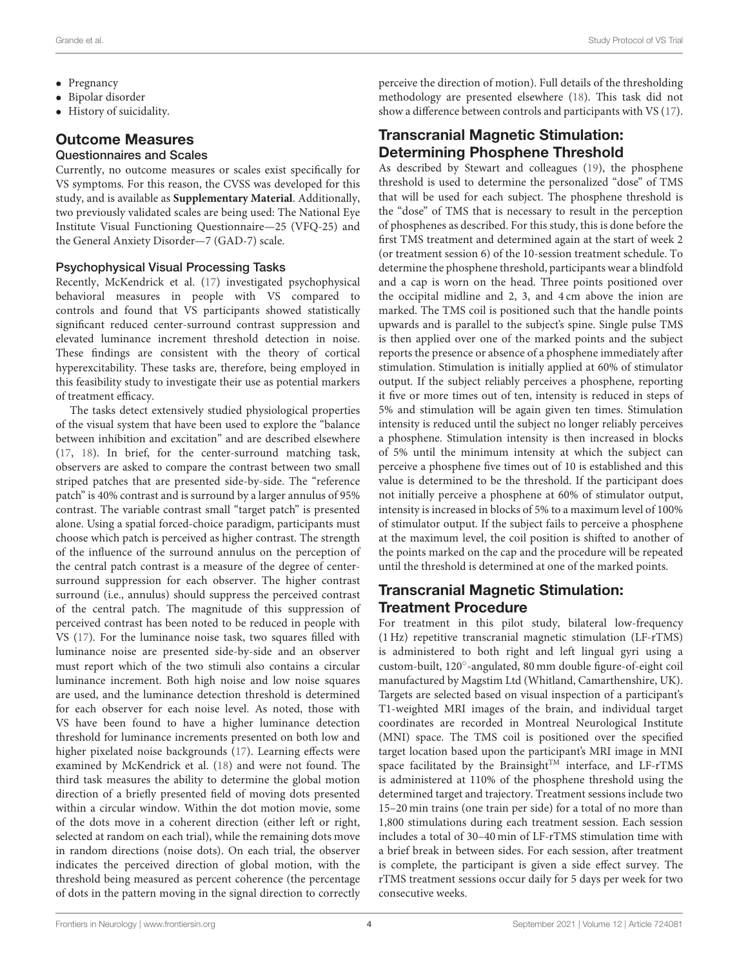- Grande et al. Study Protocol of VS Trial
- Pregnancy
- Bipolar disorder
- History of suicidality.

## Outcome Measures

#### Questionnaires and Scales

Currently, no outcome measures or scales exist specifically for VS symptoms. For this reason, the CVSS was developed for this study, and is available as **[Supplementary Material](#page-6-15)**. Additionally, two previously validated scales are being used: The National Eye Institute Visual Functioning Questionnaire—25 (VFQ-25) and the General Anxiety Disorder—7 (GAD-7) scale.

## Psychophysical Visual Processing Tasks

Recently, McKendrick et al. [\(17\)](#page-6-16) investigated psychophysical behavioral measures in people with VS compared to controls and found that VS participants showed statistically significant reduced center-surround contrast suppression and elevated luminance increment threshold detection in noise. These findings are consistent with the theory of cortical hyperexcitability. These tasks are, therefore, being employed in this feasibility study to investigate their use as potential markers of treatment efficacy.

The tasks detect extensively studied physiological properties of the visual system that have been used to explore the "balance between inhibition and excitation" and are described elsewhere [\(17,](#page-6-16) [18\)](#page-6-17). In brief, for the center-surround matching task, observers are asked to compare the contrast between two small striped patches that are presented side-by-side. The "reference patch" is 40% contrast and is surround by a larger annulus of 95% contrast. The variable contrast small "target patch" is presented alone. Using a spatial forced-choice paradigm, participants must choose which patch is perceived as higher contrast. The strength of the influence of the surround annulus on the perception of the central patch contrast is a measure of the degree of centersurround suppression for each observer. The higher contrast surround (i.e., annulus) should suppress the perceived contrast of the central patch. The magnitude of this suppression of perceived contrast has been noted to be reduced in people with VS [\(17\)](#page-6-16). For the luminance noise task, two squares filled with luminance noise are presented side-by-side and an observer must report which of the two stimuli also contains a circular luminance increment. Both high noise and low noise squares are used, and the luminance detection threshold is determined for each observer for each noise level. As noted, those with VS have been found to have a higher luminance detection threshold for luminance increments presented on both low and higher pixelated noise backgrounds [\(17\)](#page-6-16). Learning effects were examined by McKendrick et al. [\(18\)](#page-6-17) and were not found. The third task measures the ability to determine the global motion direction of a briefly presented field of moving dots presented within a circular window. Within the dot motion movie, some of the dots move in a coherent direction (either left or right, selected at random on each trial), while the remaining dots move in random directions (noise dots). On each trial, the observer indicates the perceived direction of global motion, with the threshold being measured as percent coherence (the percentage of dots in the pattern moving in the signal direction to correctly perceive the direction of motion). Full details of the thresholding methodology are presented elsewhere [\(18\)](#page-6-17). This task did not show a difference between controls and participants with VS [\(17\)](#page-6-16).

## Transcranial Magnetic Stimulation: Determining Phosphene Threshold

As described by Stewart and colleagues [\(19\)](#page-6-18), the phosphene threshold is used to determine the personalized "dose" of TMS that will be used for each subject. The phosphene threshold is the "dose" of TMS that is necessary to result in the perception of phosphenes as described. For this study, this is done before the first TMS treatment and determined again at the start of week 2 (or treatment session 6) of the 10-session treatment schedule. To determine the phosphene threshold, participants wear a blindfold and a cap is worn on the head. Three points positioned over the occipital midline and 2, 3, and 4 cm above the inion are marked. The TMS coil is positioned such that the handle points upwards and is parallel to the subject's spine. Single pulse TMS is then applied over one of the marked points and the subject reports the presence or absence of a phosphene immediately after stimulation. Stimulation is initially applied at 60% of stimulator output. If the subject reliably perceives a phosphene, reporting it five or more times out of ten, intensity is reduced in steps of 5% and stimulation will be again given ten times. Stimulation intensity is reduced until the subject no longer reliably perceives a phosphene. Stimulation intensity is then increased in blocks of 5% until the minimum intensity at which the subject can perceive a phosphene five times out of 10 is established and this value is determined to be the threshold. If the participant does not initially perceive a phosphene at 60% of stimulator output, intensity is increased in blocks of 5% to a maximum level of 100% of stimulator output. If the subject fails to perceive a phosphene at the maximum level, the coil position is shifted to another of the points marked on the cap and the procedure will be repeated until the threshold is determined at one of the marked points.

# Transcranial Magnetic Stimulation: Treatment Procedure

For treatment in this pilot study, bilateral low-frequency (1 Hz) repetitive transcranial magnetic stimulation (LF-rTMS) is administered to both right and left lingual gyri using a custom-built, 120◦ -angulated, 80 mm double figure-of-eight coil manufactured by Magstim Ltd (Whitland, Camarthenshire, UK). Targets are selected based on visual inspection of a participant's T1-weighted MRI images of the brain, and individual target coordinates are recorded in Montreal Neurological Institute (MNI) space. The TMS coil is positioned over the specified target location based upon the participant's MRI image in MNI space facilitated by the Brainsight<sup>TM</sup> interface, and LF-rTMS is administered at 110% of the phosphene threshold using the determined target and trajectory. Treatment sessions include two 15–20 min trains (one train per side) for a total of no more than 1,800 stimulations during each treatment session. Each session includes a total of 30–40 min of LF-rTMS stimulation time with a brief break in between sides. For each session, after treatment is complete, the participant is given a side effect survey. The rTMS treatment sessions occur daily for 5 days per week for two consecutive weeks.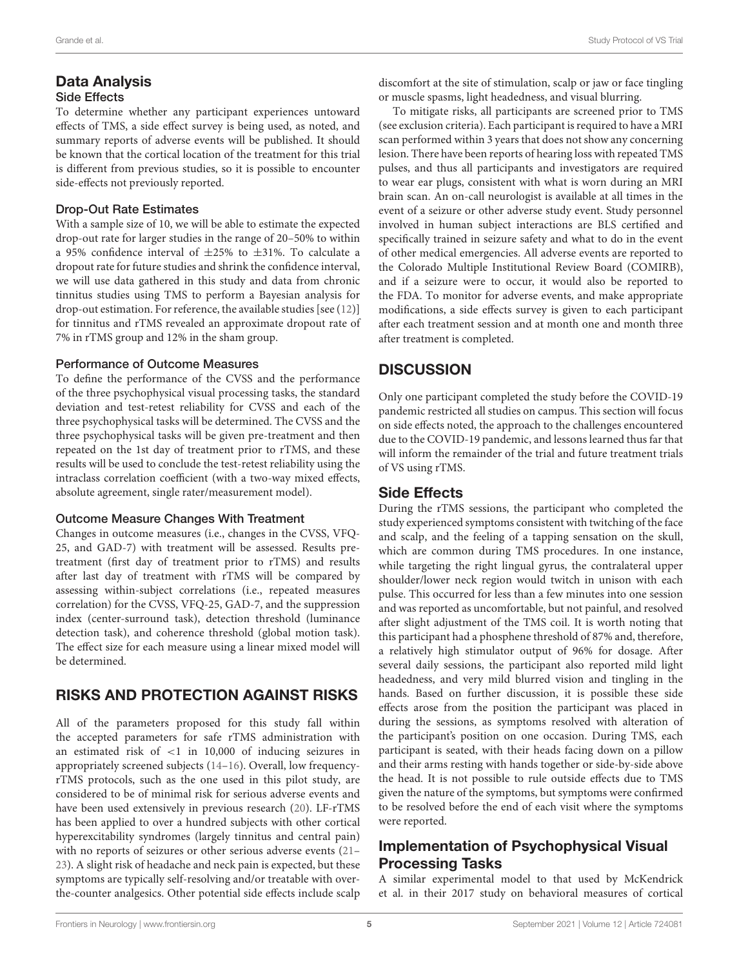# Data Analysis

## Side Effects

To determine whether any participant experiences untoward effects of TMS, a side effect survey is being used, as noted, and summary reports of adverse events will be published. It should be known that the cortical location of the treatment for this trial is different from previous studies, so it is possible to encounter side-effects not previously reported.

## Drop-Out Rate Estimates

With a sample size of 10, we will be able to estimate the expected drop-out rate for larger studies in the range of 20–50% to within a 95% confidence interval of ±25% to ±31%. To calculate a dropout rate for future studies and shrink the confidence interval, we will use data gathered in this study and data from chronic tinnitus studies using TMS to perform a Bayesian analysis for drop-out estimation. For reference, the available studies [see [\(12\)](#page-6-11)] for tinnitus and rTMS revealed an approximate dropout rate of 7% in rTMS group and 12% in the sham group.

## Performance of Outcome Measures

To define the performance of the CVSS and the performance of the three psychophysical visual processing tasks, the standard deviation and test-retest reliability for CVSS and each of the three psychophysical tasks will be determined. The CVSS and the three psychophysical tasks will be given pre-treatment and then repeated on the 1st day of treatment prior to rTMS, and these results will be used to conclude the test-retest reliability using the intraclass correlation coefficient (with a two-way mixed effects, absolute agreement, single rater/measurement model).

## Outcome Measure Changes With Treatment

Changes in outcome measures (i.e., changes in the CVSS, VFQ-25, and GAD-7) with treatment will be assessed. Results pretreatment (first day of treatment prior to rTMS) and results after last day of treatment with rTMS will be compared by assessing within-subject correlations (i.e., repeated measures correlation) for the CVSS, VFQ-25, GAD-7, and the suppression index (center-surround task), detection threshold (luminance detection task), and coherence threshold (global motion task). The effect size for each measure using a linear mixed model will be determined.

# RISKS AND PROTECTION AGAINST RISKS

All of the parameters proposed for this study fall within the accepted parameters for safe rTMS administration with an estimated risk of <1 in 10,000 of inducing seizures in appropriately screened subjects [\(14–](#page-6-13)[16\)](#page-6-14). Overall, low frequencyrTMS protocols, such as the one used in this pilot study, are considered to be of minimal risk for serious adverse events and have been used extensively in previous research [\(20\)](#page-6-19). LF-rTMS has been applied to over a hundred subjects with other cortical hyperexcitability syndromes (largely tinnitus and central pain) with no reports of seizures or other serious adverse events [\(21–](#page-7-0) [23\)](#page-7-1). A slight risk of headache and neck pain is expected, but these symptoms are typically self-resolving and/or treatable with overthe-counter analgesics. Other potential side effects include scalp discomfort at the site of stimulation, scalp or jaw or face tingling or muscle spasms, light headedness, and visual blurring.

To mitigate risks, all participants are screened prior to TMS (see exclusion criteria). Each participant is required to have a MRI scan performed within 3 years that does not show any concerning lesion. There have been reports of hearing loss with repeated TMS pulses, and thus all participants and investigators are required to wear ear plugs, consistent with what is worn during an MRI brain scan. An on-call neurologist is available at all times in the event of a seizure or other adverse study event. Study personnel involved in human subject interactions are BLS certified and specifically trained in seizure safety and what to do in the event of other medical emergencies. All adverse events are reported to the Colorado Multiple Institutional Review Board (COMIRB), and if a seizure were to occur, it would also be reported to the FDA. To monitor for adverse events, and make appropriate modifications, a side effects survey is given to each participant after each treatment session and at month one and month three after treatment is completed.

# **DISCUSSION**

Only one participant completed the study before the COVID-19 pandemic restricted all studies on campus. This section will focus on side effects noted, the approach to the challenges encountered due to the COVID-19 pandemic, and lessons learned thus far that will inform the remainder of the trial and future treatment trials of VS using rTMS.

# Side Effects

During the rTMS sessions, the participant who completed the study experienced symptoms consistent with twitching of the face and scalp, and the feeling of a tapping sensation on the skull, which are common during TMS procedures. In one instance, while targeting the right lingual gyrus, the contralateral upper shoulder/lower neck region would twitch in unison with each pulse. This occurred for less than a few minutes into one session and was reported as uncomfortable, but not painful, and resolved after slight adjustment of the TMS coil. It is worth noting that this participant had a phosphene threshold of 87% and, therefore, a relatively high stimulator output of 96% for dosage. After several daily sessions, the participant also reported mild light headedness, and very mild blurred vision and tingling in the hands. Based on further discussion, it is possible these side effects arose from the position the participant was placed in during the sessions, as symptoms resolved with alteration of the participant's position on one occasion. During TMS, each participant is seated, with their heads facing down on a pillow and their arms resting with hands together or side-by-side above the head. It is not possible to rule outside effects due to TMS given the nature of the symptoms, but symptoms were confirmed to be resolved before the end of each visit where the symptoms were reported.

# Implementation of Psychophysical Visual Processing Tasks

A similar experimental model to that used by McKendrick et al. in their 2017 study on behavioral measures of cortical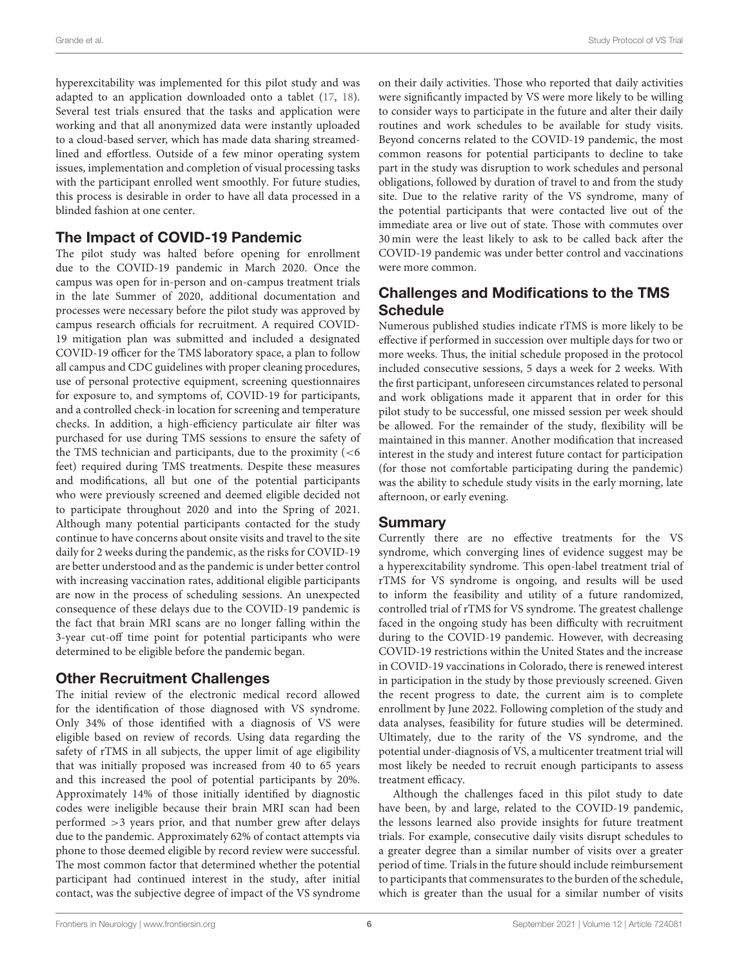hyperexcitability was implemented for this pilot study and was adapted to an application downloaded onto a tablet [\(17,](#page-6-16) [18\)](#page-6-17). Several test trials ensured that the tasks and application were working and that all anonymized data were instantly uploaded to a cloud-based server, which has made data sharing streamedlined and effortless. Outside of a few minor operating system issues, implementation and completion of visual processing tasks with the participant enrolled went smoothly. For future studies, this process is desirable in order to have all data processed in a blinded fashion at one center.

## The Impact of COVID-19 Pandemic

The pilot study was halted before opening for enrollment due to the COVID-19 pandemic in March 2020. Once the campus was open for in-person and on-campus treatment trials in the late Summer of 2020, additional documentation and processes were necessary before the pilot study was approved by campus research officials for recruitment. A required COVID-19 mitigation plan was submitted and included a designated COVID-19 officer for the TMS laboratory space, a plan to follow all campus and CDC guidelines with proper cleaning procedures, use of personal protective equipment, screening questionnaires for exposure to, and symptoms of, COVID-19 for participants, and a controlled check-in location for screening and temperature checks. In addition, a high-efficiency particulate air filter was purchased for use during TMS sessions to ensure the safety of the TMS technician and participants, due to the proximity (<6 feet) required during TMS treatments. Despite these measures and modifications, all but one of the potential participants who were previously screened and deemed eligible decided not to participate throughout 2020 and into the Spring of 2021. Although many potential participants contacted for the study continue to have concerns about onsite visits and travel to the site daily for 2 weeks during the pandemic, as the risks for COVID-19 are better understood and as the pandemic is under better control with increasing vaccination rates, additional eligible participants are now in the process of scheduling sessions. An unexpected consequence of these delays due to the COVID-19 pandemic is the fact that brain MRI scans are no longer falling within the 3-year cut-off time point for potential participants who were determined to be eligible before the pandemic began.

# Other Recruitment Challenges

The initial review of the electronic medical record allowed for the identification of those diagnosed with VS syndrome. Only 34% of those identified with a diagnosis of VS were eligible based on review of records. Using data regarding the safety of rTMS in all subjects, the upper limit of age eligibility that was initially proposed was increased from 40 to 65 years and this increased the pool of potential participants by 20%. Approximately 14% of those initially identified by diagnostic codes were ineligible because their brain MRI scan had been performed >3 years prior, and that number grew after delays due to the pandemic. Approximately 62% of contact attempts via phone to those deemed eligible by record review were successful. The most common factor that determined whether the potential participant had continued interest in the study, after initial contact, was the subjective degree of impact of the VS syndrome on their daily activities. Those who reported that daily activities were significantly impacted by VS were more likely to be willing to consider ways to participate in the future and alter their daily routines and work schedules to be available for study visits. Beyond concerns related to the COVID-19 pandemic, the most common reasons for potential participants to decline to take part in the study was disruption to work schedules and personal obligations, followed by duration of travel to and from the study site. Due to the relative rarity of the VS syndrome, many of the potential participants that were contacted live out of the immediate area or live out of state. Those with commutes over 30 min were the least likely to ask to be called back after the COVID-19 pandemic was under better control and vaccinations were more common.

# Challenges and Modifications to the TMS **Schedule**

Numerous published studies indicate rTMS is more likely to be effective if performed in succession over multiple days for two or more weeks. Thus, the initial schedule proposed in the protocol included consecutive sessions, 5 days a week for 2 weeks. With the first participant, unforeseen circumstances related to personal and work obligations made it apparent that in order for this pilot study to be successful, one missed session per week should be allowed. For the remainder of the study, flexibility will be maintained in this manner. Another modification that increased interest in the study and interest future contact for participation (for those not comfortable participating during the pandemic) was the ability to schedule study visits in the early morning, late afternoon, or early evening.

# Summary

Currently there are no effective treatments for the VS syndrome, which converging lines of evidence suggest may be a hyperexcitability syndrome. This open-label treatment trial of rTMS for VS syndrome is ongoing, and results will be used to inform the feasibility and utility of a future randomized, controlled trial of rTMS for VS syndrome. The greatest challenge faced in the ongoing study has been difficulty with recruitment during to the COVID-19 pandemic. However, with decreasing COVID-19 restrictions within the United States and the increase in COVID-19 vaccinations in Colorado, there is renewed interest in participation in the study by those previously screened. Given the recent progress to date, the current aim is to complete enrollment by June 2022. Following completion of the study and data analyses, feasibility for future studies will be determined. Ultimately, due to the rarity of the VS syndrome, and the potential under-diagnosis of VS, a multicenter treatment trial will most likely be needed to recruit enough participants to assess treatment efficacy.

Although the challenges faced in this pilot study to date have been, by and large, related to the COVID-19 pandemic, the lessons learned also provide insights for future treatment trials. For example, consecutive daily visits disrupt schedules to a greater degree than a similar number of visits over a greater period of time. Trials in the future should include reimbursement to participants that commensurates to the burden of the schedule, which is greater than the usual for a similar number of visits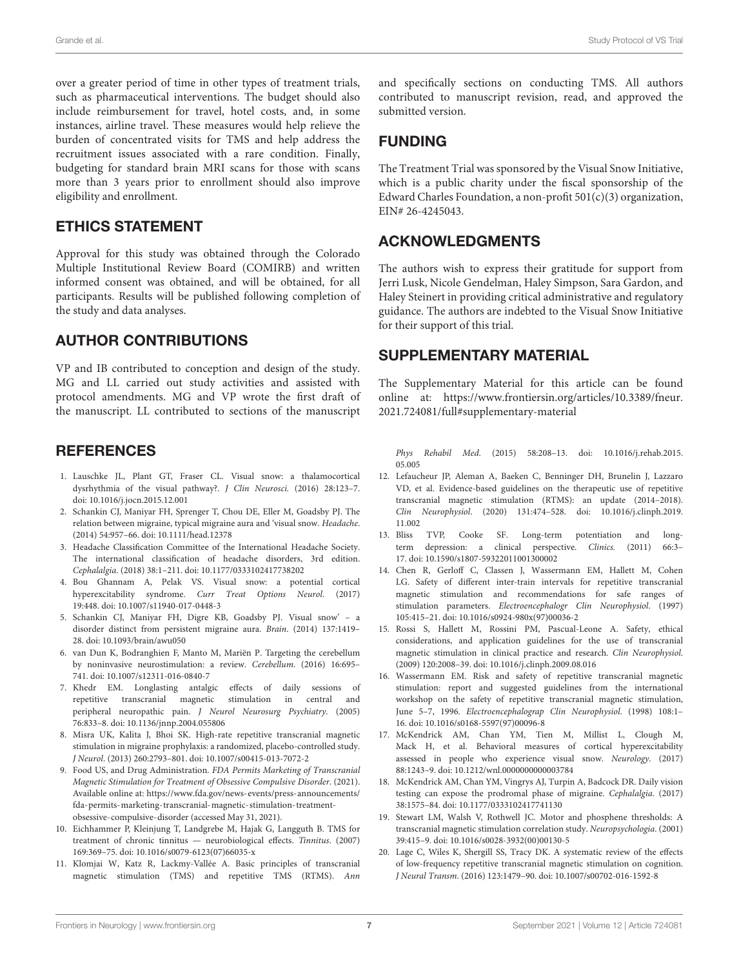over a greater period of time in other types of treatment trials, such as pharmaceutical interventions. The budget should also include reimbursement for travel, hotel costs, and, in some instances, airline travel. These measures would help relieve the burden of concentrated visits for TMS and help address the recruitment issues associated with a rare condition. Finally, budgeting for standard brain MRI scans for those with scans more than 3 years prior to enrollment should also improve eligibility and enrollment.

## ETHICS STATEMENT

Approval for this study was obtained through the Colorado Multiple Institutional Review Board (COMIRB) and written informed consent was obtained, and will be obtained, for all participants. Results will be published following completion of the study and data analyses.

## AUTHOR CONTRIBUTIONS

VP and IB contributed to conception and design of the study. MG and LL carried out study activities and assisted with protocol amendments. MG and VP wrote the first draft of the manuscript. LL contributed to sections of the manuscript

## **REFERENCES**

- <span id="page-6-0"></span>1. Lauschke JL, Plant GT, Fraser CL. Visual snow: a thalamocortical dysrhythmia of the visual pathway?. J Clin Neurosci. (2016) 28:123–7. doi: [10.1016/j.jocn.2015.12.001](https://doi.org/10.1016/j.jocn.2015.12.001)
- <span id="page-6-1"></span>2. Schankin CJ, Maniyar FH, Sprenger T, Chou DE, Eller M, Goadsby PJ. The relation between migraine, typical migraine aura and 'visual snow. Headache. (2014) 54:957–66. doi: [10.1111/head.12378](https://doi.org/10.1111/head.12378)
- <span id="page-6-2"></span>3. Headache Classification Committee of the International Headache Society. The international classification of headache disorders, 3rd edition. Cephalalgia. (2018) 38:1–211. doi: [10.1177/0333102417738202](https://doi.org/10.1177/0333102417738202)
- <span id="page-6-3"></span>4. Bou Ghannam A, Pelak VS. Visual snow: a potential cortical hyperexcitability syndrome. Curr Treat Options Neurol. (2017) 19:448. doi: [10.1007/s11940-017-0448-3](https://doi.org/10.1007/s11940-017-0448-3)
- <span id="page-6-4"></span>5. Schankin CJ, Maniyar FH, Digre KB, Goadsby PJ. Visual snow' – a disorder distinct from persistent migraine aura. Brain. (2014) 137:1419– 28. doi: [10.1093/brain/awu050](https://doi.org/10.1093/brain/awu050)
- <span id="page-6-5"></span>6. van Dun K, Bodranghien F, Manto M, Mariën P. Targeting the cerebellum by noninvasive neurostimulation: a review. Cerebellum. (2016) 16:695– 741. doi: [10.1007/s12311-016-0840-7](https://doi.org/10.1007/s12311-016-0840-7)
- <span id="page-6-6"></span>7. Khedr EM. Longlasting antalgic effects of daily sessions of repetitive transcranial magnetic stimulation in central and peripheral neuropathic pain. J Neurol Neurosurg Psychiatry. (2005) 76:833–8. doi: [10.1136/jnnp.2004.055806](https://doi.org/10.1136/jnnp.2004.055806)
- <span id="page-6-7"></span>8. Misra UK, Kalita J, Bhoi SK. High-rate repetitive transcranial magnetic stimulation in migraine prophylaxis: a randomized, placebo-controlled study. J Neurol. (2013) 260:2793–801. doi: [10.1007/s00415-013-7072-2](https://doi.org/10.1007/s00415-013-7072-2)
- <span id="page-6-8"></span>9. Food US, and Drug Administration. FDA Permits Marketing of Transcranial Magnetic Stimulation for Treatment of Obsessive Compulsive Disorder. (2021). Available online at: [https://www.fda.gov/news-events/press-announcements/](https://www.fda.gov/news-events/press-announcements/fda-permits-marketing-transcranial-magnetic-stimulation-treatment-obsessive-compulsive-disorder) [fda-permits-marketing-transcranial-magnetic-stimulation-treatment](https://www.fda.gov/news-events/press-announcements/fda-permits-marketing-transcranial-magnetic-stimulation-treatment-obsessive-compulsive-disorder)[obsessive-compulsive-disorder](https://www.fda.gov/news-events/press-announcements/fda-permits-marketing-transcranial-magnetic-stimulation-treatment-obsessive-compulsive-disorder) (accessed May 31, 2021).
- <span id="page-6-9"></span>10. Eichhammer P, Kleinjung T, Landgrebe M, Hajak G, Langguth B. TMS for treatment of chronic tinnitus — neurobiological effects. Tinnitus. (2007) 169:369–75. doi: [10.1016/s0079-6123\(07\)66035-x](https://doi.org/10.1016/s0079-6123(07)66035-x)
- <span id="page-6-10"></span>11. Klomjai W, Katz R, Lackmy-Vallée A. Basic principles of transcranial magnetic stimulation (TMS) and repetitive TMS (RTMS). Ann

and specifically sections on conducting TMS. All authors contributed to manuscript revision, read, and approved the submitted version.

## FUNDING

The Treatment Trial was sponsored by the Visual Snow Initiative, which is a public charity under the fiscal sponsorship of the Edward Charles Foundation, a non-profit  $501(c)(3)$  organization, EIN# 26-4245043.

# ACKNOWLEDGMENTS

The authors wish to express their gratitude for support from Jerri Lusk, Nicole Gendelman, Haley Simpson, Sara Gardon, and Haley Steinert in providing critical administrative and regulatory guidance. The authors are indebted to the Visual Snow Initiative for their support of this trial.

## SUPPLEMENTARY MATERIAL

<span id="page-6-15"></span>The Supplementary Material for this article can be found [online at: https://www.frontiersin.org/articles/10.3389/fneur.](https://www.frontiersin.org/articles/10.3389/fneur.2021.724081/full#supplementary-material) 2021.724081/full#supplementary-material

Phys Rehabil Med[. \(2015\) 58:208–13. doi: 10.1016/j.rehab.2015.](https://doi.org/10.1016/j.rehab.2015.05.005) 05.005

- <span id="page-6-11"></span>12. Lefaucheur JP, Aleman A, Baeken C, Benninger DH, Brunelin J, Lazzaro VD, et al. Evidence-based guidelines on the therapeutic use of repetitive transcranial magnetic stimulation (RTMS): an update (2014–2018). Clin Neurophysiol[. \(2020\) 131:474–528. doi: 10.1016/j.clinph.2019.](https://doi.org/10.1016/j.clinph.2019.11.002) 11.002
- <span id="page-6-12"></span>13. Bliss TVP, Cooke SF. Long-term potentiation and longterm depression: a clinical perspective. Clinics. (2011) 66:3– 17. doi: [10.1590/s1807-59322011001300002](https://doi.org/10.1590/s1807-59322011001300002)
- <span id="page-6-13"></span>14. Chen R, Gerloff C, Classen J, Wassermann EM, Hallett M, Cohen LG. Safety of different inter-train intervals for repetitive transcranial magnetic stimulation and recommendations for safe ranges of stimulation parameters. Electroencephalogr Clin Neurophysiol. (1997) 105:415–21. doi: [10.1016/s0924-980x\(97\)00036-2](https://doi.org/10.1016/s0924-980x(97)00036-2)
- 15. Rossi S, Hallett M, Rossini PM, Pascual-Leone A. Safety, ethical considerations, and application guidelines for the use of transcranial magnetic stimulation in clinical practice and research. Clin Neurophysiol. (2009) 120:2008–39. doi: [10.1016/j.clinph.2009.08.016](https://doi.org/10.1016/j.clinph.2009.08.016)
- <span id="page-6-14"></span>16. Wassermann EM. Risk and safety of repetitive transcranial magnetic stimulation: report and suggested guidelines from the international workshop on the safety of repetitive transcranial magnetic stimulation, June 5–7, 1996. Electroencephalograp Clin Neurophysiol. (1998) 108:1– 16. doi: [10.1016/s0168-5597\(97\)00096-8](https://doi.org/10.1016/s0168-5597(97)00096-8)
- <span id="page-6-16"></span>17. McKendrick AM, Chan YM, Tien M, Millist L, Clough M, Mack H, et al. Behavioral measures of cortical hyperexcitability assessed in people who experience visual snow. Neurology. (2017) 88:1243–9. doi: [10.1212/wnl.0000000000003784](https://doi.org/10.1212/wnl.0000000000003784)
- <span id="page-6-17"></span>18. McKendrick AM, Chan YM, Vingrys AJ, Turpin A, Badcock DR. Daily vision testing can expose the prodromal phase of migraine. Cephalalgia. (2017) 38:1575–84. doi: [10.1177/0333102417741130](https://doi.org/10.1177/0333102417741130)
- <span id="page-6-18"></span>19. Stewart LM, Walsh V, Rothwell JC. Motor and phosphene thresholds: A transcranial magnetic stimulation correlation study. Neuropsychologia. (2001) 39:415–9. doi: [10.1016/s0028-3932\(00\)00130-5](https://doi.org/10.1016/s0028-3932(00)00130-5)
- <span id="page-6-19"></span>20. Lage C, Wiles K, Shergill SS, Tracy DK. A systematic review of the effects of low-frequency repetitive transcranial magnetic stimulation on cognition. J Neural Transm. (2016) 123:1479–90. doi: [10.1007/s00702-016-1592-8](https://doi.org/10.1007/s00702-016-1592-8)